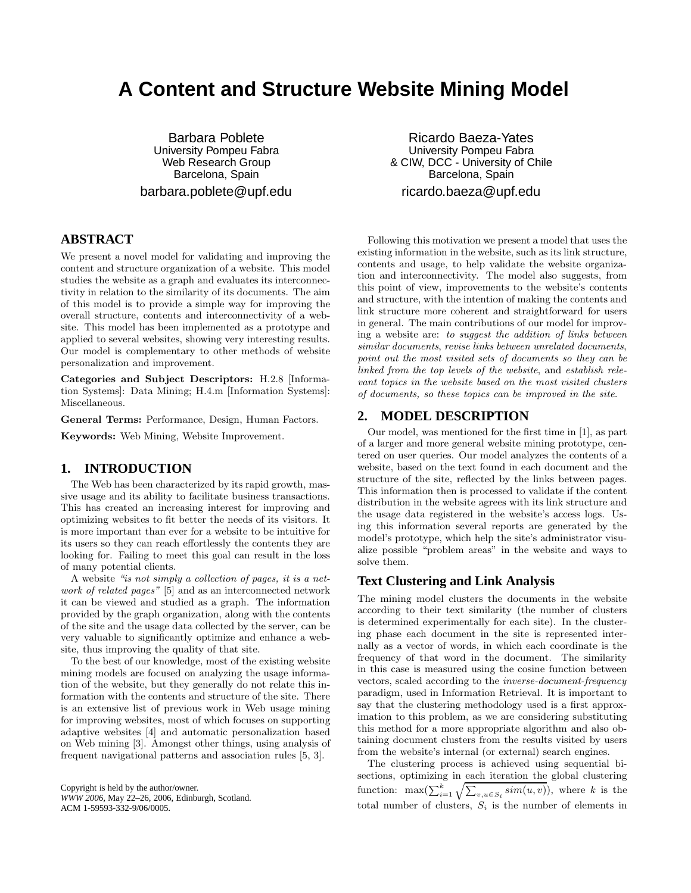# **A Content and Structure Website Mining Model**

Barbara Poblete University Pompeu Fabra Web Research Group Barcelona, Spain barbara.poblete@upf.edu

# **ABSTRACT**

We present a novel model for validating and improving the content and structure organization of a website. This model studies the website as a graph and evaluates its interconnectivity in relation to the similarity of its documents. The aim of this model is to provide a simple way for improving the overall structure, contents and interconnectivity of a website. This model has been implemented as a prototype and applied to several websites, showing very interesting results. Our model is complementary to other methods of website personalization and improvement.

Categories and Subject Descriptors: H.2.8 [Information Systems]: Data Mining; H.4.m [Information Systems]: Miscellaneous.

General Terms: Performance, Design, Human Factors.

Keywords: Web Mining, Website Improvement.

#### **1. INTRODUCTION**

The Web has been characterized by its rapid growth, massive usage and its ability to facilitate business transactions. This has created an increasing interest for improving and optimizing websites to fit better the needs of its visitors. It is more important than ever for a website to be intuitive for its users so they can reach effortlessly the contents they are looking for. Failing to meet this goal can result in the loss of many potential clients.

A website "is not simply a collection of pages, it is a network of related pages" [5] and as an interconnected network it can be viewed and studied as a graph. The information provided by the graph organization, along with the contents of the site and the usage data collected by the server, can be very valuable to significantly optimize and enhance a website, thus improving the quality of that site.

To the best of our knowledge, most of the existing website mining models are focused on analyzing the usage information of the website, but they generally do not relate this information with the contents and structure of the site. There is an extensive list of previous work in Web usage mining for improving websites, most of which focuses on supporting adaptive websites [4] and automatic personalization based on Web mining [3]. Amongst other things, using analysis of frequent navigational patterns and association rules [5, 3].

Copyright is held by the author/owner. *WWW 2006,* May 22–26, 2006, Edinburgh, Scotland. ACM 1-59593-332-9/06/0005.

Ricardo Baeza-Yates University Pompeu Fabra & CIW, DCC - University of Chile Barcelona, Spain ricardo.baeza@upf.edu

Following this motivation we present a model that uses the existing information in the website, such as its link structure, contents and usage, to help validate the website organization and interconnectivity. The model also suggests, from this point of view, improvements to the website's contents and structure, with the intention of making the contents and link structure more coherent and straightforward for users in general. The main contributions of our model for improving a website are: to suggest the addition of links between similar documents, revise links between unrelated documents, point out the most visited sets of documents so they can be linked from the top levels of the website, and establish relevant topics in the website based on the most visited clusters of documents, so these topics can be improved in the site.

## **2. MODEL DESCRIPTION**

Our model, was mentioned for the first time in [1], as part of a larger and more general website mining prototype, centered on user queries. Our model analyzes the contents of a website, based on the text found in each document and the structure of the site, reflected by the links between pages. This information then is processed to validate if the content distribution in the website agrees with its link structure and the usage data registered in the website's access logs. Using this information several reports are generated by the model's prototype, which help the site's administrator visualize possible "problem areas" in the website and ways to solve them.

#### **Text Clustering and Link Analysis**

The mining model clusters the documents in the website according to their text similarity (the number of clusters is determined experimentally for each site). In the clustering phase each document in the site is represented internally as a vector of words, in which each coordinate is the frequency of that word in the document. The similarity in this case is measured using the cosine function between vectors, scaled according to the inverse-document-frequency paradigm, used in Information Retrieval. It is important to say that the clustering methodology used is a first approximation to this problem, as we are considering substituting this method for a more appropriate algorithm and also obtaining document clusters from the results visited by users from the website's internal (or external) search engines.

The clustering process is achieved using sequential bisections, optimizing in each iteration the global clustering function:  $\max(\sum_{i=1}^k \sqrt{\sum_{v,u \in S_i} sim(u,v)})$ , where k is the total number of clusters,  $S_i$  is the number of elements in